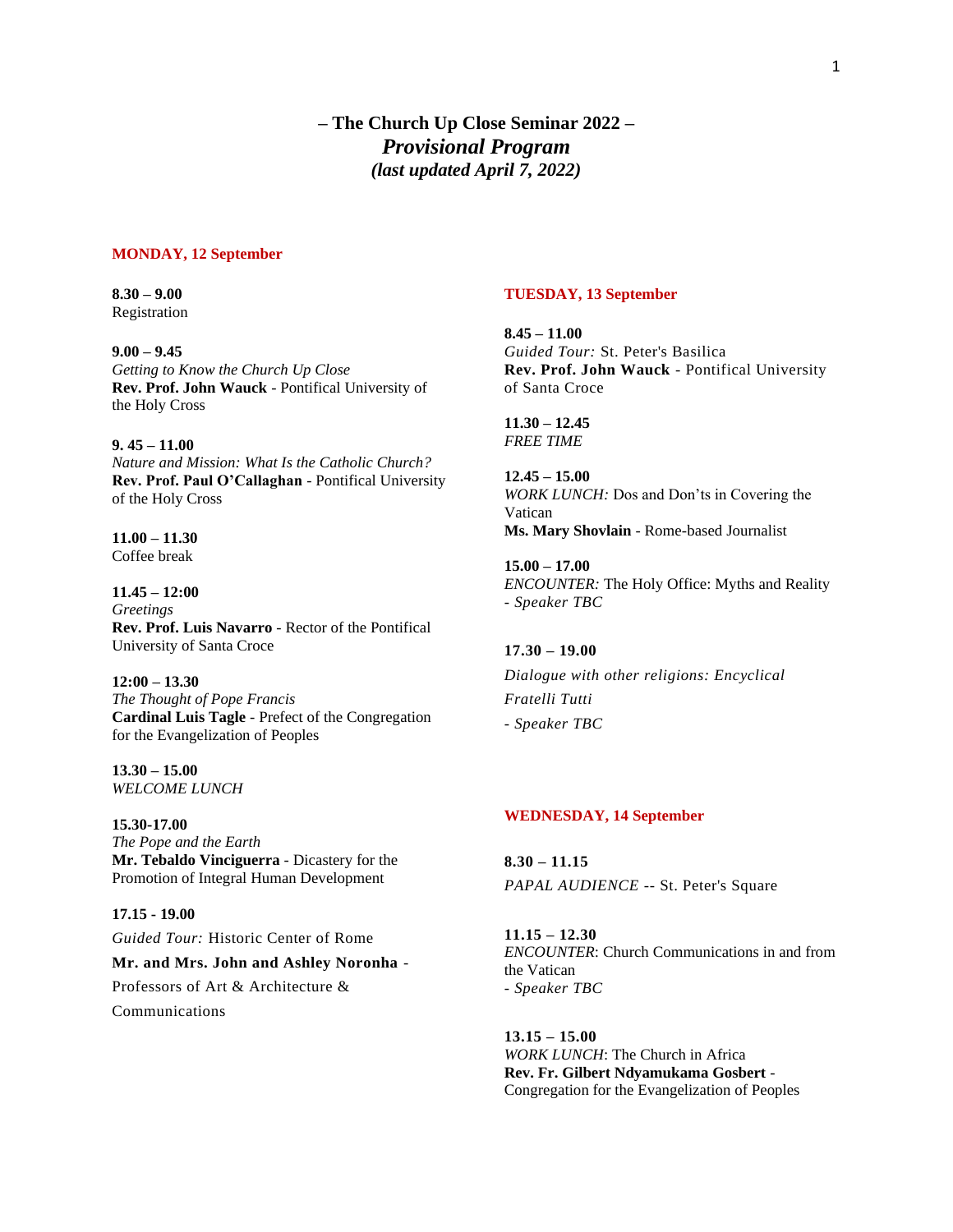**– The Church Up Close Seminar 2022 –** *Provisional Program (last updated April 7, 2022)*

#### **MONDAY, 12 September**

**8.30 – 9.00** Registration

**9.00 – 9.45** *Getting to Know the Church Up Close* **Rev. Prof. John Wauck** - Pontifical University of the Holy Cross

**9. 45 – 11.00**  *Nature and Mission: What Is the Catholic Church?* **Rev. Prof. Paul O'Callaghan** - Pontifical University of the Holy Cross

**11.00 – 11.30** Coffee break

**11.45 – 12:00** *Greetings* **Rev. Prof. Luis Navarro** - Rector of the Pontifical University of Santa Croce

**12:00 – 13.30** *The Thought of Pope Francis* **Cardinal Luis Tagle** - Prefect of the Congregation for the Evangelization of Peoples

**13.30 – 15.00** *WELCOME LUNCH*

**15.30-17.00** *The Pope and the Earth* **Mr. Tebaldo Vinciguerra** *-* Dicastery for the Promotion of Integral Human Development

**17.15 - 19.00** *Guided Tour:* Historic Center of Rome **Mr. and Mrs. John and Ashley Noronha** - Professors of Art & Architecture & Communications

#### **TUESDAY, 13 September**

**8.45 – 11.00** *Guided Tour:* St. Peter's Basilica **Rev. Prof. John Wauck** - Pontifical University of Santa Croce

**11.30 – 12.45** *FREE TIME*

**12.45 – 15.00** *WORK LUNCH:* Dos and Don'ts in Covering the Vatican **Ms. Mary Shovlain** - Rome-based Journalist

**15.00 – 17.00** *ENCOUNTER:* The Holy Office: Myths and Reality *- Speaker TBC*

# **17.30 – 19.00**

*Dialogue with other religions: Encyclical Fratelli Tutti - Speaker TBC*

### **WEDNESDAY, 14 September**

**8.30 – 11.15** *PAPAL AUDIENCE* -- St. Peter's Square

**11.15 – 12.30** *ENCOUNTER*: Church Communications in and from the Vatican *- Speaker TBC*

**13.15 – 15.00** *WORK LUNCH*: The Church in Africa **Rev. Fr. Gilbert Ndyamukama Gosbert** - Congregation for the Evangelization of Peoples